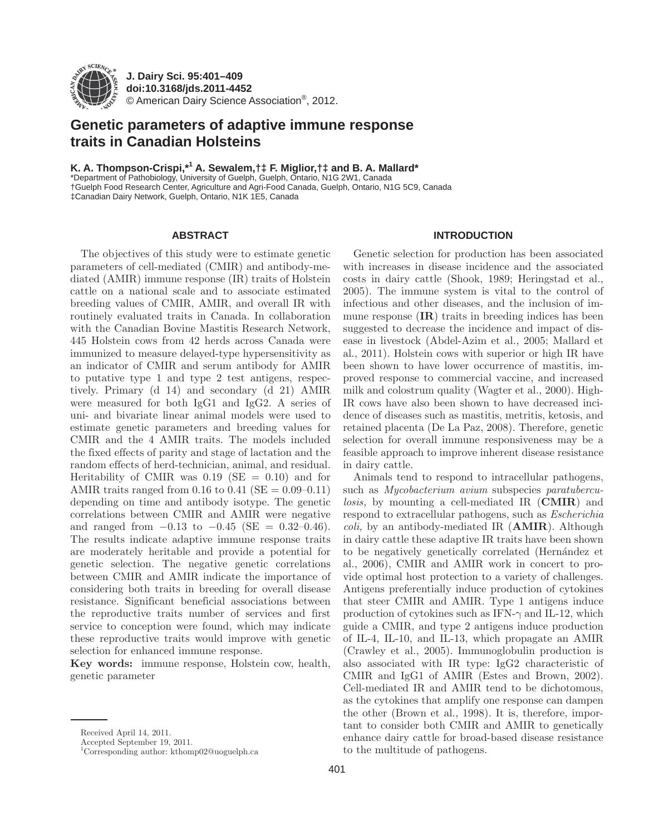

**J. Dairy Sci. 95 :401–409 doi:10.3168/jds.2011-4452**  © American Dairy Science Association®, 2012.

# **Genetic parameters of adaptive immune response traits in Canadian Holsteins**

**K. A. Thompson-Crispi,\*1 A. Sewalem,†‡ F. Miglior ,†‡ and B. A. Mallard \***

\*Department of Pathobiology, University of Guelph, Guelph, Ontario, N1G 2W1, Canada †Guelph Food Research Center, Agriculture and Agri-Food Canada, Guelph, Ontario, N1G 5C9, Canada ‡Canadian Dairy Network, Guelph, Ontario, N1K 1E5, Canada

#### **ABSTRACT**

The objectives of this study were to estimate genetic parameters of cell-mediated (CMIR) and antibody-mediated (AMIR) immune response (IR) traits of Holstein cattle on a national scale and to associate estimated breeding values of CMIR, AMIR, and overall IR with routinely evaluated traits in Canada. In collaboration with the Canadian Bovine Mastitis Research Network, 445 Holstein cows from 42 herds across Canada were immunized to measure delayed-type hypersensitivity as an indicator of CMIR and serum antibody for AMIR to putative type 1 and type 2 test antigens, respectively. Primary (d 14) and secondary (d 21) AMIR were measured for both IgG1 and IgG2. A series of uni- and bivariate linear animal models were used to estimate genetic parameters and breeding values for CMIR and the 4 AMIR traits. The models included the fixed effects of parity and stage of lactation and the random effects of herd-technician, animal, and residual. Heritability of CMIR was  $0.19$  (SE = 0.10) and for AMIR traits ranged from 0.16 to 0.41 ( $SE = 0.09{\text -}0.11$ ) depending on time and antibody isotype. The genetic correlations between CMIR and AMIR were negative and ranged from  $-0.13$  to  $-0.45$  (SE = 0.32–0.46). The results indicate adaptive immune response traits are moderately heritable and provide a potential for genetic selection. The negative genetic correlations between CMIR and AMIR indicate the importance of considering both traits in breeding for overall disease resistance. Significant beneficial associations between the reproductive traits number of services and first service to conception were found, which may indicate these reproductive traits would improve with genetic selection for enhanced immune response.

Key words: immune response, Holstein cow, health, genetic parameter

#### **INTRODUCTION**

Genetic selection for production has been associated with increases in disease incidence and the associated costs in dairy cattle (Shook, 1989; Heringstad et al., 2005). The immune system is vital to the control of infectious and other diseases, and the inclusion of immune response (**IR**) traits in breeding indices has been suggested to decrease the incidence and impact of disease in livestock (Abdel-Azim et al., 2005; Mallard et al., 2011). Holstein cows with superior or high IR have been shown to have lower occurrence of mastitis, improved response to commercial vaccine, and increased milk and colostrum quality (Wagter et al., 2000). High-IR cows have also been shown to have decreased incidence of diseases such as mastitis, metritis, ketosis, and retained placenta (De La Paz, 2008). Therefore, genetic selection for overall immune responsiveness may be a feasible approach to improve inherent disease resistance in dairy cattle.

Animals tend to respond to intracellular pathogens, such as *Mycobacterium avium* subspecies *paratuberculosis,* by mounting a cell-mediated IR (**CMIR**) and respond to extracellular pathogens, such as *Escherichia coli,* by an antibody-mediated IR (**AMIR**). Although in dairy cattle these adaptive IR traits have been shown to be negatively genetically correlated (Hernández et al., 2006), CMIR and AMIR work in concert to provide optimal host protection to a variety of challenges. Antigens preferentially induce production of cytokines that steer CMIR and AMIR. Type 1 antigens induce production of cytokines such as IFN- $\gamma$  and IL-12, which guide a CMIR, and type 2 antigens induce production of IL-4, IL-10, and IL-13, which propagate an AMIR (Crawley et al., 2005). Immunoglobulin production is also associated with IR type: IgG2 characteristic of CMIR and IgG1 of AMIR (Estes and Brown, 2002). Cell-mediated IR and AMIR tend to be dichotomous, as the cytokines that amplify one response can dampen the other (Brown et al., 1998). It is, therefore, important to consider both CMIR and AMIR to genetically enhance dairy cattle for broad-based disease resistance to the multitude of pathogens.

Received April 14, 2011.

Accepted September 19, 2011.

 <sup>1</sup> Corresponding author: kthomp02@uoguelph.ca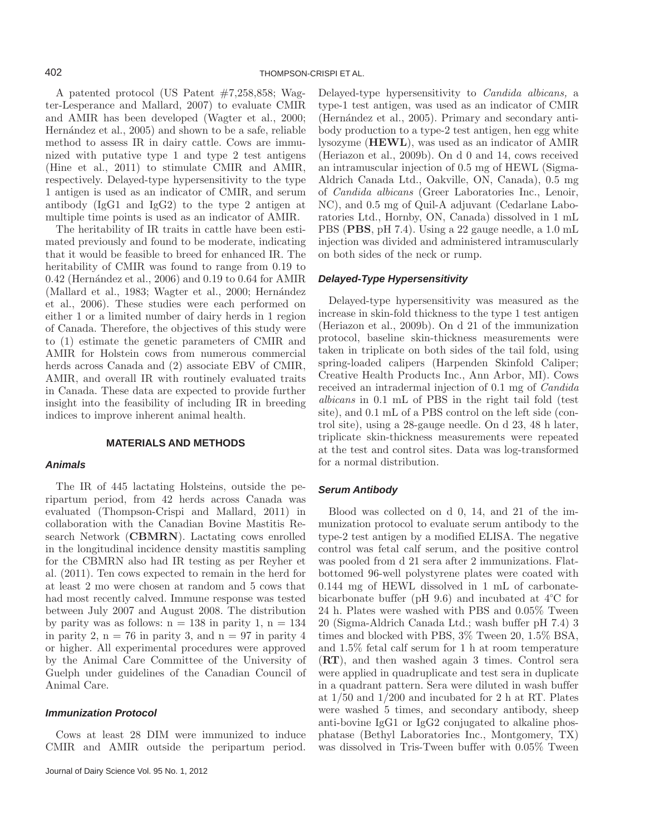A patented protocol (US Patent #7,258,858; Wagter-Lesperance and Mallard, 2007) to evaluate CMIR and AMIR has been developed (Wagter et al., 2000; Hernández et al., 2005) and shown to be a safe, reliable method to assess IR in dairy cattle. Cows are immunized with putative type 1 and type 2 test antigens (Hine et al., 2011) to stimulate CMIR and AMIR, respectively. Delayed-type hypersensitivity to the type 1 antigen is used as an indicator of CMIR, and serum antibody (IgG1 and IgG2) to the type 2 antigen at multiple time points is used as an indicator of AMIR.

The heritability of IR traits in cattle have been estimated previously and found to be moderate, indicating that it would be feasible to breed for enhanced IR. The heritability of CMIR was found to range from 0.19 to 0.42 (Hernández et al., 2006) and 0.19 to 0.64 for AMIR (Mallard et al., 1983; Wagter et al., 2000; Hernández et al., 2006). These studies were each performed on either 1 or a limited number of dairy herds in 1 region of Canada. Therefore, the objectives of this study were to (1) estimate the genetic parameters of CMIR and AMIR for Holstein cows from numerous commercial herds across Canada and (2) associate EBV of CMIR, AMIR, and overall IR with routinely evaluated traits in Canada. These data are expected to provide further insight into the feasibility of including IR in breeding indices to improve inherent animal health.

## **MATERIALS AND METHODS**

# *Animals*

The IR of 445 lactating Holsteins, outside the peripartum period, from 42 herds across Canada was evaluated (Thompson-Crispi and Mallard, 2011) in collaboration with the Canadian Bovine Mastitis Research Network (**CBMRN**). Lactating cows enrolled in the longitudinal incidence density mastitis sampling for the CBMRN also had IR testing as per Reyher et al. (2011). Ten cows expected to remain in the herd for at least 2 mo were chosen at random and 5 cows that had most recently calved. Immune response was tested between July 2007 and August 2008. The distribution by parity was as follows:  $n = 138$  in parity 1,  $n = 134$ in parity 2,  $n = 76$  in parity 3, and  $n = 97$  in parity 4 or higher. All experimental procedures were approved by the Animal Care Committee of the University of Guelph under guidelines of the Canadian Council of Animal Care.

# *Immunization Protocol*

Cows at least 28 DIM were immunized to induce CMIR and AMIR outside the peripartum period. Delayed-type hypersensitivity to *Candida albicans,* a type-1 test antigen, was used as an indicator of CMIR (Hernández et al., 2005). Primary and secondary antibody production to a type-2 test antigen, hen egg white lysozyme (**HEWL**), was used as an indicator of AMIR (Heriazon et al., 2009b). On d 0 and 14, cows received an intramuscular injection of 0.5 mg of HEWL (Sigma-Aldrich Canada Ltd., Oakville, ON, Canada), 0.5 mg of *Candida albicans* (Greer Laboratories Inc., Lenoir, NC), and 0.5 mg of Quil-A adjuvant (Cedarlane Laboratories Ltd., Hornby, ON, Canada) dissolved in 1 mL PBS (**PBS**, pH 7.4). Using a 22 gauge needle, a 1.0 mL injection was divided and administered intramuscularly on both sides of the neck or rump.

## *Delayed-Type Hypersensitivity*

Delayed-type hypersensitivity was measured as the increase in skin-fold thickness to the type 1 test antigen (Heriazon et al., 2009b). On d 21 of the immunization protocol, baseline skin-thickness measurements were taken in triplicate on both sides of the tail fold, using spring-loaded calipers (Harpenden Skinfold Caliper; Creative Health Products Inc., Ann Arbor, MI). Cows received an intradermal injection of 0.1 mg of *Candida albicans* in 0.1 mL of PBS in the right tail fold (test site), and 0.1 mL of a PBS control on the left side (control site), using a 28-gauge needle. On d 23, 48 h later, triplicate skin-thickness measurements were repeated at the test and control sites. Data was log-transformed for a normal distribution.

#### *Serum Antibody*

Blood was collected on d 0, 14, and 21 of the immunization protocol to evaluate serum antibody to the type-2 test antigen by a modified ELISA. The negative control was fetal calf serum, and the positive control was pooled from d 21 sera after 2 immunizations. Flatbottomed 96-well polystyrene plates were coated with 0.144 mg of HEWL dissolved in 1 mL of carbonatebicarbonate buffer (pH 9.6) and incubated at 4°C for 24 h. Plates were washed with PBS and 0.05% Tween 20 (Sigma-Aldrich Canada Ltd.; wash buffer pH 7.4) 3 times and blocked with PBS, 3% Tween 20, 1.5% BSA, and 1.5% fetal calf serum for 1 h at room temperature (**RT**), and then washed again 3 times. Control sera were applied in quadruplicate and test sera in duplicate in a quadrant pattern. Sera were diluted in wash buffer at 1/50 and 1/200 and incubated for 2 h at RT. Plates were washed 5 times, and secondary antibody, sheep anti-bovine IgG1 or IgG2 conjugated to alkaline phosphatase (Bethyl Laboratories Inc., Montgomery, TX) was dissolved in Tris-Tween buffer with 0.05% Tween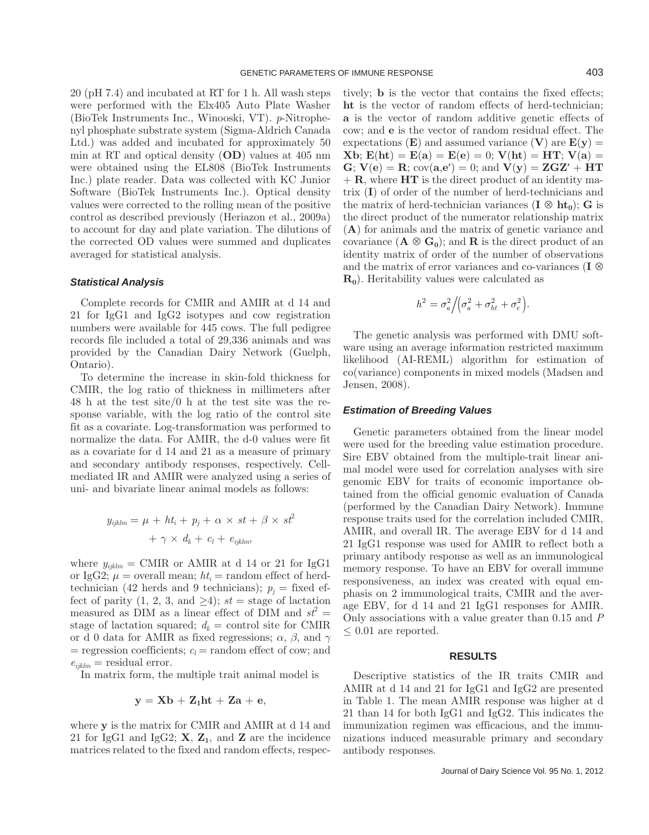20 (pH 7.4) and incubated at RT for 1 h. All wash steps were performed with the Elx405 Auto Plate Washer (BioTek Instruments Inc., Winooski, VT). *p*-Nitrophenyl phosphate substrate system (Sigma-Aldrich Canada Ltd.) was added and incubated for approximately 50 min at RT and optical density (**OD**) values at 405 nm were obtained using the EL808 (BioTek Instruments Inc.) plate reader. Data was collected with KC Junior Software (BioTek Instruments Inc.). Optical density values were corrected to the rolling mean of the positive control as described previously (Heriazon et al., 2009a) to account for day and plate variation. The dilutions of the corrected OD values were summed and duplicates averaged for statistical analysis.

#### *Statistical Analysis*

Complete records for CMIR and AMIR at d 14 and 21 for IgG1 and IgG2 isotypes and cow registration numbers were available for 445 cows. The full pedigree records file included a total of 29,336 animals and was provided by the Canadian Dairy Network (Guelph, Ontario).

To determine the increase in skin-fold thickness for CMIR, the log ratio of thickness in millimeters after 48 h at the test site/0 h at the test site was the response variable, with the log ratio of the control site fit as a covariate. Log-transformation was performed to normalize the data. For AMIR, the d-0 values were fit as a covariate for d 14 and 21 as a measure of primary and secondary antibody responses, respectively. Cellmediated IR and AMIR were analyzed using a series of uni- and bivariate linear animal models as follows:

$$
y_{ijklm} = \mu + ht_i + p_j + \alpha \times st + \beta \times st^2
$$

$$
+ \gamma \times d_k + c_l + e_{ijklm},
$$

where  $y_{jiklm} = \text{CMIR}$  or AMIR at d 14 or 21 for IgG1 or IgG2;  $\mu$  = overall mean;  $ht_i$  = random effect of herdtechnician (42 herds and 9 technicians);  $p_i$  = fixed effect of parity  $(1, 2, 3, \text{ and } \geq 4)$ ;  $st = \text{stage of }$  lactation measured as  $\overrightarrow{DIM}$  as a linear effect of  $\overrightarrow{DIM}$  and  $st^2 =$ stage of lactation squared;  $d_k$  = control site for CMIR or d 0 data for AMIR as fixed regressions;  $\alpha$ ,  $\beta$ , and  $\gamma$  $=$  regression coefficients;  $c_l$  = random effect of cow; and  $e_{ijklm}$  = residual error.

In matrix form, the multiple trait animal model is

$$
y = Xb + Z_1ht + Za + e,
$$

where **y** is the matrix for CMIR and AMIR at d 14 and 21 for IgG1 and IgG2;  $X$ ,  $Z_1$ , and  $Z$  are the incidence matrices related to the fixed and random effects, respectively; **b** is the vector that contains the fixed effects; **ht** is the vector of random effects of herd-technician; **a** is the vector of random additive genetic effects of cow; and **e** is the vector of random residual effect. The expectations  $(\mathbf{E})$  and assumed variance  $(\mathbf{V})$  are  $\mathbf{E}(\mathbf{y}) =$ **Xb**; **E**(**ht**) = **E**(**a**) = **E**(**e**) = 0; **V**(**ht**) = **HT**; **V**(**a**) =  $G; V(e) = R; cov(a,e') = 0; and V(y) = ZGZ' + HT$ + **R**, where **HT** is the direct product of an identity matrix (**I**) of order of the number of herd-technicians and the matrix of herd-technician variances ( $I \otimes ht_0$ ); **G** is the direct product of the numerator relationship matrix (**A**) for animals and the matrix of genetic variance and covariance  $(\mathbf{A} \otimes \mathbf{G}_0)$ ; and **R** is the direct product of an identity matrix of order of the number of observations and the matrix of error variances and co-variances (**I R0**). Heritability values were calculated as

$$
h^2 = \sigma_a^2 / \left(\sigma_a^2 + \sigma_{ht}^2 + \sigma_e^2\right).
$$

The genetic analysis was performed with DMU software using an average information restricted maximum likelihood (AI-REML) algorithm for estimation of co(variance) components in mixed models (Madsen and Jensen, 2008).

# *Estimation of Breeding Values*

Genetic parameters obtained from the linear model were used for the breeding value estimation procedure. Sire EBV obtained from the multiple-trait linear animal model were used for correlation analyses with sire genomic EBV for traits of economic importance obtained from the official genomic evaluation of Canada (performed by the Canadian Dairy Network). Immune response traits used for the correlation included CMIR, AMIR, and overall IR. The average EBV for d 14 and 21 IgG1 response was used for AMIR to reflect both a primary antibody response as well as an immunological memory response. To have an EBV for overall immune responsiveness, an index was created with equal emphasis on 2 immunological traits, CMIR and the average EBV, for d 14 and 21 IgG1 responses for AMIR. Only associations with a value greater than 0.15 and *P*  $\leq 0.01$  are reported.

#### **RESULTS**

Descriptive statistics of the IR traits CMIR and AMIR at d 14 and 21 for IgG1 and IgG2 are presented in Table 1. The mean AMIR response was higher at d 21 than 14 for both IgG1 and IgG2. This indicates the immunization regimen was efficacious, and the immunizations induced measurable primary and secondary antibody responses.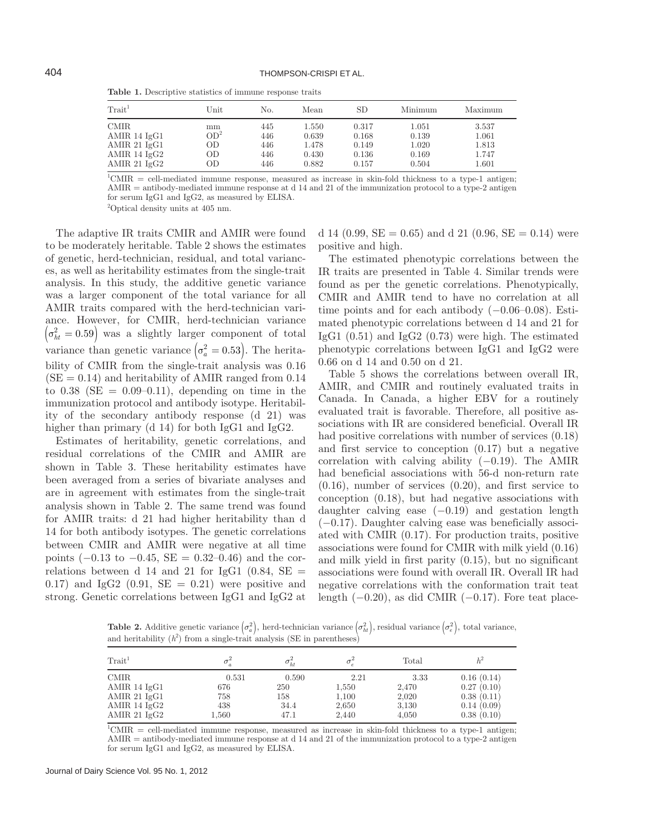| Train <sup>1</sup> | $_{\rm Unit}$   | No. | Mean  | <b>SD</b> | Minimum | Maximum |
|--------------------|-----------------|-----|-------|-----------|---------|---------|
| <b>CMIR</b>        | mm              | 445 | 1.550 | 0.317     | 1.051   | 3.537   |
| AMIR 14 IgG1       | OD <sup>2</sup> | 446 | 0.639 | 0.168     | 0.139   | 1.061   |
| AMIR $21 \lg G1$   | ΟD              | 446 | 1.478 | 0.149     | 1.020   | 1.813   |
| AMIR 14 $\lg G2$   | ΟD              | 446 | 0.430 | 0.136     | 0.169   | 1.747   |
| AMIR $21 \lg G2$   | ΟD              | 446 | 0.882 | 0.157     | 0.504   | 1.601   |

Table 1. Descriptive statistics of immune response traits

1 CMIR = cell-mediated immune response, measured as increase in skin-fold thickness to a type-1 antigen; AMIR = antibody-mediated immune response at d 14 and 21 of the immunization protocol to a type-2 antigen for serum IgG1 and IgG2, as measured by ELISA.

2 Optical density units at 405 nm.

The adaptive IR traits CMIR and AMIR were found to be moderately heritable. Table 2 shows the estimates of genetic, herd-technician, residual, and total variances, as well as heritability estimates from the single-trait analysis. In this study, the additive genetic variance was a larger component of the total variance for all AMIR traits compared with the herd-technician variance. However, for CMIR, herd-technician variance  $\left(\sigma_{ht}^2 = 0.59\right)$  was a slightly larger component of total variance than genetic variance  $(\sigma_a^2 = 0.53)$ . The heritability of CMIR from the single-trait analysis was 0.16  $(SE = 0.14)$  and heritability of AMIR ranged from 0.14 to  $0.38$  (SE =  $0.09-0.11$ ), depending on time in the immunization protocol and antibody isotype. Heritability of the secondary antibody response (d 21) was higher than primary (d 14) for both IgG1 and IgG2.

Estimates of heritability, genetic correlations, and residual correlations of the CMIR and AMIR are shown in Table 3. These heritability estimates have been averaged from a series of bivariate analyses and are in agreement with estimates from the single-trait analysis shown in Table 2. The same trend was found for AMIR traits: d 21 had higher heritability than d 14 for both antibody isotypes. The genetic correlations between CMIR and AMIR were negative at all time points  $(-0.13 \text{ to } -0.45, \text{ SE} = 0.32 - 0.46)$  and the correlations between d 14 and 21 for IgG1 (0.84,  $SE =$ 0.17) and IgG2  $(0.91, \text{ SE} = 0.21)$  were positive and strong. Genetic correlations between IgG1 and IgG2 at d 14 (0.99,  $SE = 0.65$ ) and d 21 (0.96,  $SE = 0.14$ ) were positive and high.

The estimated phenotypic correlations between the IR traits are presented in Table 4. Similar trends were found as per the genetic correlations. Phenotypically, CMIR and AMIR tend to have no correlation at all time points and for each antibody  $(-0.06-0.08)$ . Estimated phenotypic correlations between d 14 and 21 for IgG1 (0.51) and IgG2 (0.73) were high. The estimated phenotypic correlations between IgG1 and IgG2 were 0.66 on d 14 and 0.50 on d 21.

Table 5 shows the correlations between overall IR, AMIR, and CMIR and routinely evaluated traits in Canada. In Canada, a higher EBV for a routinely evaluated trait is favorable. Therefore, all positive associations with IR are considered beneficial. Overall IR had positive correlations with number of services  $(0.18)$ and first service to conception (0.17) but a negative correlation with calving ability  $(-0.19)$ . The AMIR had beneficial associations with 56-d non-return rate  $(0.16)$ , number of services  $(0.20)$ , and first service to conception (0.18), but had negative associations with daughter calving ease  $(-0.19)$  and gestation length (−0.17). Daughter calving ease was beneficially associated with CMIR (0.17). For production traits, positive associations were found for CMIR with milk yield (0.16) and milk yield in first parity (0.15), but no significant associations were found with overall IR. Overall IR had negative correlations with the conformation trait teat length  $(-0.20)$ , as did CMIR  $(-0.17)$ . Fore teat place-

**Table 2.** Additive genetic variance  $(\sigma_a^2)$ , herd-technician variance  $(\sigma_{ht}^2)$ , residual variance  $(\sigma_e^2)$ , total variance, and heritability  $(h^2)$  from a single-trait analysis (SE in parentheses)

| Train <sup>1</sup> |       | $\sigma_{ht}^-$ | $\sigma_{\scriptscriptstyle e}^{\scriptscriptstyle \epsilon}$ | Total | $h^2$      |
|--------------------|-------|-----------------|---------------------------------------------------------------|-------|------------|
| <b>CMIR</b>        | 0.531 | 0.590           | 2.21                                                          | 3.33  | 0.16(0.14) |
| AMIR 14 IgG1       | 676   | 250             | 1,550                                                         | 2,470 | 0.27(0.10) |
| AMIR 21 $\lg G1$   | 758   | 158             | 1,100                                                         | 2,020 | 0.38(0.11) |
| AMIR 14 IgG2       | 438   | 34.4            | 2,650                                                         | 3.130 | 0.14(0.09) |
| AMIR 21 $\lg G2$   | 1,560 | 47.1            | 2,440                                                         | 4,050 | 0.38(0.10) |

1 CMIR = cell-mediated immune response, measured as increase in skin-fold thickness to a type-1 antigen; AMIR = antibody-mediated immune response at d 14 and 21 of the immunization protocol to a type-2 antigen for serum IgG1 and IgG2, as measured by ELISA.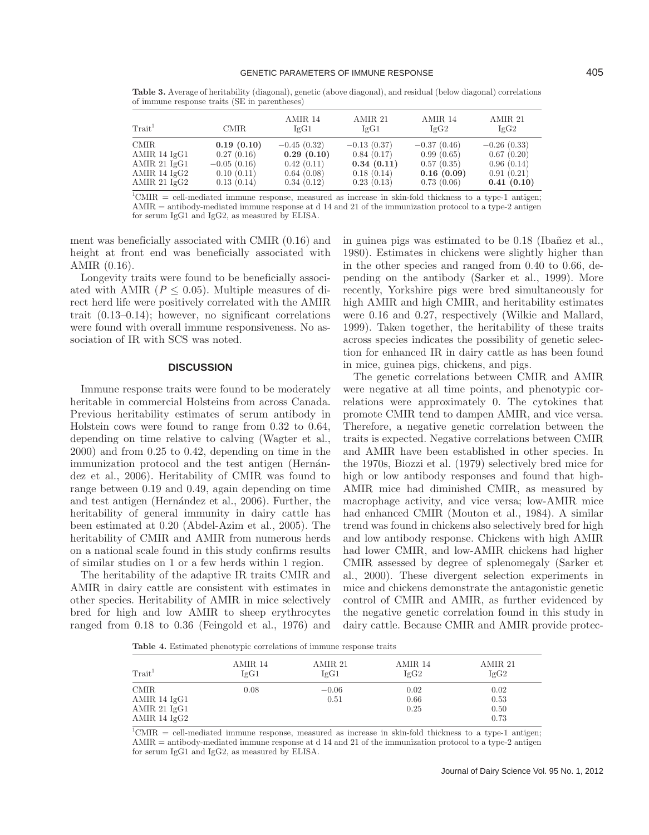**Table 3.** Average of heritability (diagonal), genetic (above diagonal), and residual (below diagonal) correlations of immune response traits (SE in parentheses)

| $\mathrm{Train}^1$ | <b>CMIR</b>   | AMIR 14<br>IgG1 | AMIR 21<br>IgG1 | AMIR 14<br>IgG2 | AMIR 21<br>IgG2 |
|--------------------|---------------|-----------------|-----------------|-----------------|-----------------|
| CMIR.              | 0.19(0.10)    | $-0.45(0.32)$   | $-0.13(0.37)$   | $-0.37(0.46)$   | $-0.26(0.33)$   |
| AMIR 14 IgG1       | 0.27(0.16)    | 0.29(0.10)      | 0.84(0.17)      | 0.99(0.65)      | 0.67(0.20)      |
| $AMIR$ 21 Ig $G1$  | $-0.05(0.16)$ | 0.42(0.11)      | 0.34(0.11)      | 0.57(0.35)      | 0.96(0.14)      |
| AMIR 14 IgG2       | 0.10(0.11)    | 0.64(0.08)      | 0.18(0.14)      | 0.16(0.09)      | 0.91(0.21)      |
| AMIR 21 IgG2       | 0.13(0.14)    | 0.34(0.12)      | 0.23(0.13)      | 0.73(0.06)      | 0.41(0.10)      |

1 CMIR = cell-mediated immune response, measured as increase in skin-fold thickness to a type-1 antigen;  $AMIR =$  antibody-mediated immune response at d 14 and 21 of the immunization protocol to a type-2 antigen for serum IgG1 and IgG2, as measured by ELISA.

ment was beneficially associated with CMIR (0.16) and height at front end was beneficially associated with AMIR (0.16).

Longevity traits were found to be beneficially associated with AMIR ( $P \leq 0.05$ ). Multiple measures of direct herd life were positively correlated with the AMIR trait (0.13–0.14); however, no significant correlations were found with overall immune responsiveness. No association of IR with SCS was noted.

#### **DISCUSSION**

Immune response traits were found to be moderately heritable in commercial Holsteins from across Canada. Previous heritability estimates of serum antibody in Holstein cows were found to range from 0.32 to 0.64, depending on time relative to calving (Wagter et al., 2000) and from 0.25 to 0.42, depending on time in the immunization protocol and the test antigen (Hernández et al., 2006). Heritability of CMIR was found to range between 0.19 and 0.49, again depending on time and test antigen (Hernández et al., 2006). Further, the heritability of general immunity in dairy cattle has been estimated at 0.20 (Abdel-Azim et al., 2005). The heritability of CMIR and AMIR from numerous herds on a national scale found in this study confirms results of similar studies on 1 or a few herds within 1 region.

The heritability of the adaptive IR traits CMIR and AMIR in dairy cattle are consistent with estimates in other species. Heritability of AMIR in mice selectively bred for high and low AMIR to sheep erythrocytes ranged from 0.18 to 0.36 (Feingold et al., 1976) and in guinea pigs was estimated to be 0.18 (Ibañez et al., 1980). Estimates in chickens were slightly higher than in the other species and ranged from 0.40 to 0.66, depending on the antibody (Sarker et al., 1999). More recently, Yorkshire pigs were bred simultaneously for high AMIR and high CMIR, and heritability estimates were 0.16 and 0.27, respectively (Wilkie and Mallard, 1999). Taken together, the heritability of these traits across species indicates the possibility of genetic selection for enhanced IR in dairy cattle as has been found in mice, guinea pigs, chickens, and pigs.

The genetic correlations between CMIR and AMIR were negative at all time points, and phenotypic correlations were approximately 0. The cytokines that promote CMIR tend to dampen AMIR, and vice versa. Therefore, a negative genetic correlation between the traits is expected. Negative correlations between CMIR and AMIR have been established in other species. In the 1970s, Biozzi et al. (1979) selectively bred mice for high or low antibody responses and found that high-AMIR mice had diminished CMIR, as measured by macrophage activity, and vice versa; low-AMIR mice had enhanced CMIR (Mouton et al., 1984). A similar trend was found in chickens also selectively bred for high and low antibody response. Chickens with high AMIR had lower CMIR, and low-AMIR chickens had higher CMIR assessed by degree of splenomegaly (Sarker et al., 2000). These divergent selection experiments in mice and chickens demonstrate the antagonistic genetic control of CMIR and AMIR, as further evidenced by the negative genetic correlation found in this study in dairy cattle. Because CMIR and AMIR provide protec-

**Table 4.** Estimated phenotypic correlations of immune response traits

| Train <sup>1</sup>                                                  | AMIR 14<br>IgG1 | AMIR 21<br>IgG1 | AMIR 14<br>IgG2      | AMIR 21<br>IgG2              |
|---------------------------------------------------------------------|-----------------|-----------------|----------------------|------------------------------|
| <b>CMIR</b><br>AMIR 14 IgG1<br>AMIR $21 \lg G1$<br>AMIR $14 \lg G2$ | 0.08            | $-0.06$<br>0.51 | 0.02<br>0.66<br>0.25 | 0.02<br>0.53<br>0.50<br>0.73 |

1 CMIR = cell-mediated immune response, measured as increase in skin-fold thickness to a type-1 antigen; AMIR = antibody-mediated immune response at d 14 and 21 of the immunization protocol to a type-2 antigen for serum IgG1 and IgG2, as measured by ELISA.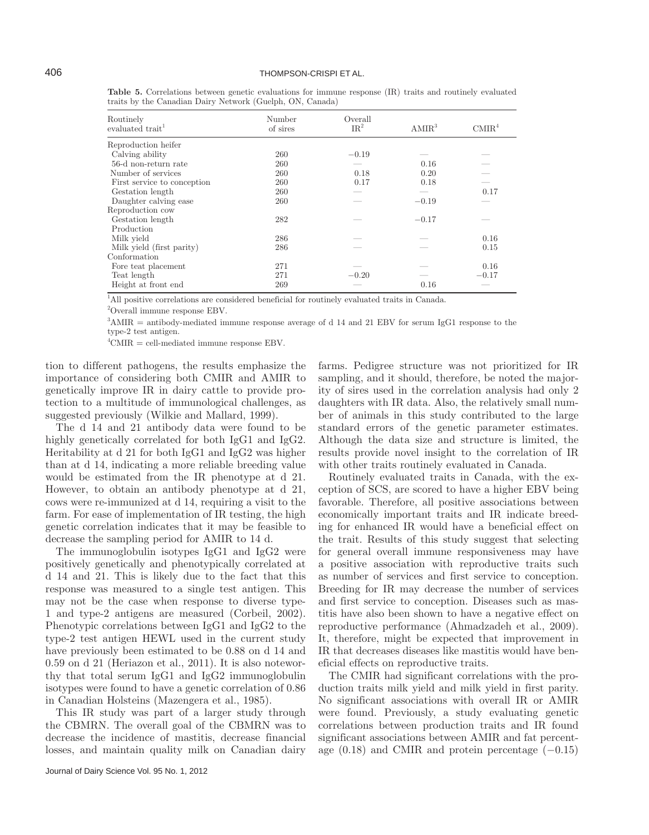| Routinely<br>evaluated trait <sup>1</sup> | Number<br>of sires | Overall<br>IR <sup>2</sup> | AMIR <sup>3</sup> | CMIR <sup>4</sup> |
|-------------------------------------------|--------------------|----------------------------|-------------------|-------------------|
| Reproduction heifer                       |                    |                            |                   |                   |
| Calving ability                           | 260                | $-0.19$                    |                   |                   |
| 56-d non-return rate                      | 260                |                            | 0.16              |                   |
| Number of services                        | 260                | 0.18                       | 0.20              |                   |
| First service to conception               | 260                | 0.17                       | 0.18              |                   |
| Gestation length                          | 260                |                            |                   | 0.17              |
| Daughter calving ease                     | 260                |                            | $-0.19$           |                   |
| Reproduction cow                          |                    |                            |                   |                   |
| Gestation length                          | 282                |                            | $-0.17$           |                   |
| Production                                |                    |                            |                   |                   |
| Milk yield                                | 286                |                            |                   | 0.16              |
| Milk yield (first parity)                 | 286                |                            |                   | 0.15              |
| Conformation                              |                    |                            |                   |                   |
| Fore teat placement                       | 271                |                            |                   | 0.16              |
| Teat length                               | 271                | $-0.20$                    |                   | $-0.17$           |
| Height at front end                       | 269                |                            | 0.16              |                   |

**Table 5.** Correlations between genetic evaluations for immune response (IR) traits and routinely evaluated traits by the Canadian Dairy Network (Guelph, ON, Canada)

<sup>1</sup>All positive correlations are considered beneficial for routinely evaluated traits in Canada.

2 Overall immune response EBV.

 $34\text{MIR}$  = antibody-mediated immune response average of d 14 and 21 EBV for serum IgG1 response to the type-2 test antigen.

 ${}^{4}$ CMIR = cell-mediated immune response EBV.

tion to different pathogens, the results emphasize the importance of considering both CMIR and AMIR to genetically improve IR in dairy cattle to provide protection to a multitude of immunological challenges, as suggested previously (Wilkie and Mallard, 1999).

The d 14 and 21 antibody data were found to be highly genetically correlated for both IgG1 and IgG2. Heritability at d 21 for both IgG1 and IgG2 was higher than at d 14, indicating a more reliable breeding value would be estimated from the IR phenotype at d 21. However, to obtain an antibody phenotype at d 21, cows were re-immunized at d 14, requiring a visit to the farm. For ease of implementation of IR testing, the high genetic correlation indicates that it may be feasible to decrease the sampling period for AMIR to 14 d.

The immunoglobulin isotypes IgG1 and IgG2 were positively genetically and phenotypically correlated at d 14 and 21. This is likely due to the fact that this response was measured to a single test antigen. This may not be the case when response to diverse type-1 and type-2 antigens are measured (Corbeil, 2002). Phenotypic correlations between IgG1 and IgG2 to the type-2 test antigen HEWL used in the current study have previously been estimated to be 0.88 on d 14 and 0.59 on d 21 (Heriazon et al., 2011). It is also noteworthy that total serum IgG1 and IgG2 immunoglobulin isotypes were found to have a genetic correlation of 0.86 in Canadian Holsteins (Mazengera et al., 1985).

This IR study was part of a larger study through the CBMRN. The overall goal of the CBMRN was to decrease the incidence of mastitis, decrease financial losses, and maintain quality milk on Canadian dairy farms. Pedigree structure was not prioritized for IR sampling, and it should, therefore, be noted the majority of sires used in the correlation analysis had only 2 daughters with IR data. Also, the relatively small number of animals in this study contributed to the large standard errors of the genetic parameter estimates. Although the data size and structure is limited, the results provide novel insight to the correlation of IR with other traits routinely evaluated in Canada.

Routinely evaluated traits in Canada, with the exception of SCS, are scored to have a higher EBV being favorable. Therefore, all positive associations between economically important traits and IR indicate breeding for enhanced IR would have a beneficial effect on the trait. Results of this study suggest that selecting for general overall immune responsiveness may have a positive association with reproductive traits such as number of services and first service to conception. Breeding for IR may decrease the number of services and first service to conception. Diseases such as mastitis have also been shown to have a negative effect on reproductive performance (Ahmadzadeh et al., 2009). It, therefore, might be expected that improvement in IR that decreases diseases like mastitis would have beneficial effects on reproductive traits.

The CMIR had significant correlations with the production traits milk yield and milk yield in first parity. No significant associations with overall IR or AMIR were found. Previously, a study evaluating genetic correlations between production traits and IR found significant associations between AMIR and fat percentage  $(0.18)$  and CMIR and protein percentage  $(-0.15)$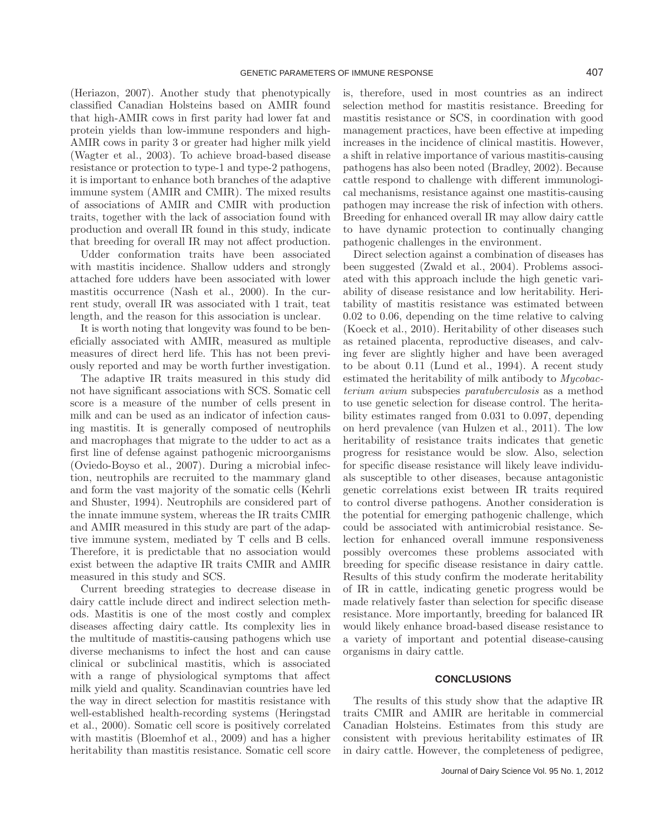(Heriazon, 2007). Another study that phenotypically classified Canadian Holsteins based on AMIR found that high-AMIR cows in first parity had lower fat and protein yields than low-immune responders and high-AMIR cows in parity 3 or greater had higher milk yield (Wagter et al., 2003). To achieve broad-based disease resistance or protection to type-1 and type-2 pathogens, it is important to enhance both branches of the adaptive immune system (AMIR and CMIR). The mixed results of associations of AMIR and CMIR with production traits, together with the lack of association found with production and overall IR found in this study, indicate that breeding for overall IR may not affect production.

Udder conformation traits have been associated with mastitis incidence. Shallow udders and strongly attached fore udders have been associated with lower mastitis occurrence (Nash et al., 2000). In the current study, overall IR was associated with 1 trait, teat length, and the reason for this association is unclear.

It is worth noting that longevity was found to be beneficially associated with AMIR, measured as multiple measures of direct herd life. This has not been previously reported and may be worth further investigation.

The adaptive IR traits measured in this study did not have significant associations with SCS. Somatic cell score is a measure of the number of cells present in milk and can be used as an indicator of infection causing mastitis. It is generally composed of neutrophils and macrophages that migrate to the udder to act as a first line of defense against pathogenic microorganisms (Oviedo-Boyso et al., 2007). During a microbial infection, neutrophils are recruited to the mammary gland and form the vast majority of the somatic cells (Kehrli and Shuster, 1994). Neutrophils are considered part of the innate immune system, whereas the IR traits CMIR and AMIR measured in this study are part of the adaptive immune system, mediated by T cells and B cells. Therefore, it is predictable that no association would exist between the adaptive IR traits CMIR and AMIR measured in this study and SCS.

Current breeding strategies to decrease disease in dairy cattle include direct and indirect selection methods. Mastitis is one of the most costly and complex diseases affecting dairy cattle. Its complexity lies in the multitude of mastitis-causing pathogens which use diverse mechanisms to infect the host and can cause clinical or subclinical mastitis, which is associated with a range of physiological symptoms that affect milk yield and quality. Scandinavian countries have led the way in direct selection for mastitis resistance with well-established health-recording systems (Heringstad et al., 2000). Somatic cell score is positively correlated with mastitis (Bloemhof et al., 2009) and has a higher heritability than mastitis resistance. Somatic cell score is, therefore, used in most countries as an indirect selection method for mastitis resistance. Breeding for mastitis resistance or SCS, in coordination with good management practices, have been effective at impeding increases in the incidence of clinical mastitis. However, a shift in relative importance of various mastitis-causing pathogens has also been noted (Bradley, 2002). Because cattle respond to challenge with different immunological mechanisms, resistance against one mastitis-causing pathogen may increase the risk of infection with others. Breeding for enhanced overall IR may allow dairy cattle to have dynamic protection to continually changing pathogenic challenges in the environment.

Direct selection against a combination of diseases has been suggested (Zwald et al., 2004). Problems associated with this approach include the high genetic variability of disease resistance and low heritability. Heritability of mastitis resistance was estimated between 0.02 to 0.06, depending on the time relative to calving (Koeck et al., 2010). Heritability of other diseases such as retained placenta, reproductive diseases, and calving fever are slightly higher and have been averaged to be about 0.11 (Lund et al., 1994). A recent study estimated the heritability of milk antibody to *Mycobacterium avium* subspecies *paratuberculosis* as a method to use genetic selection for disease control. The heritability estimates ranged from 0.031 to 0.097, depending on herd prevalence (van Hulzen et al., 2011). The low heritability of resistance traits indicates that genetic progress for resistance would be slow. Also, selection for specific disease resistance will likely leave individuals susceptible to other diseases, because antagonistic genetic correlations exist between IR traits required to control diverse pathogens. Another consideration is the potential for emerging pathogenic challenge, which could be associated with antimicrobial resistance. Selection for enhanced overall immune responsiveness possibly overcomes these problems associated with breeding for specific disease resistance in dairy cattle. Results of this study confirm the moderate heritability of IR in cattle, indicating genetic progress would be made relatively faster than selection for specific disease resistance. More importantly, breeding for balanced IR would likely enhance broad-based disease resistance to a variety of important and potential disease-causing organisms in dairy cattle.

# **CONCLUSIONS**

The results of this study show that the adaptive IR traits CMIR and AMIR are heritable in commercial Canadian Holsteins. Estimates from this study are consistent with previous heritability estimates of IR in dairy cattle. However, the completeness of pedigree,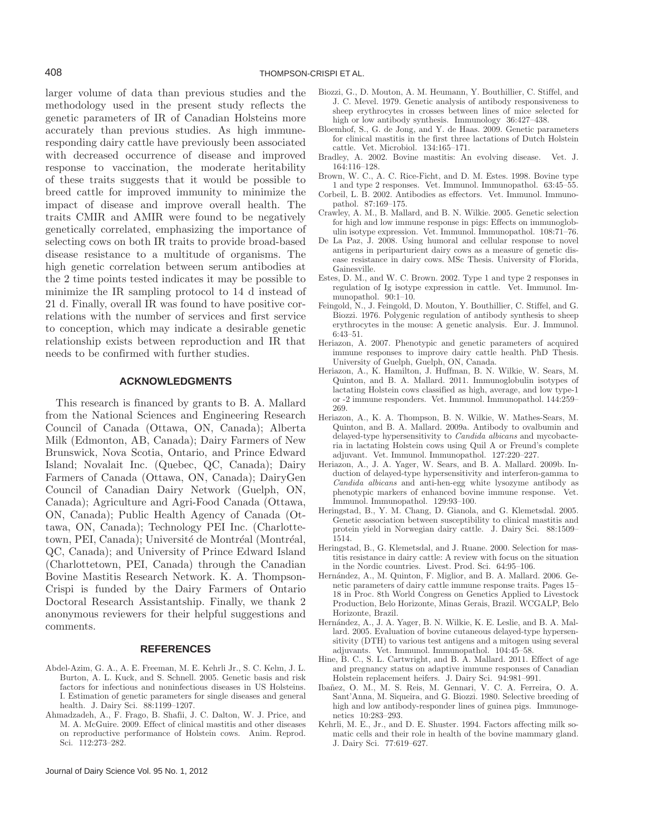larger volume of data than previous studies and the methodology used in the present study reflects the genetic parameters of IR of Canadian Holsteins more accurately than previous studies. As high immuneresponding dairy cattle have previously been associated with decreased occurrence of disease and improved response to vaccination, the moderate heritability of these traits suggests that it would be possible to breed cattle for improved immunity to minimize the impact of disease and improve overall health. The traits CMIR and AMIR were found to be negatively genetically correlated, emphasizing the importance of selecting cows on both IR traits to provide broad-based disease resistance to a multitude of organisms. The high genetic correlation between serum antibodies at the 2 time points tested indicates it may be possible to minimize the IR sampling protocol to 14 d instead of 21 d. Finally, overall IR was found to have positive correlations with the number of services and first service to conception, which may indicate a desirable genetic relationship exists between reproduction and IR that needs to be confirmed with further studies.

## **ACKNOWLEDGMENTS**

This research is financed by grants to B. A. Mallard from the National Sciences and Engineering Research Council of Canada (Ottawa, ON, Canada); Alberta Milk (Edmonton, AB, Canada); Dairy Farmers of New Brunswick, Nova Scotia, Ontario, and Prince Edward Island; Novalait Inc. (Quebec, QC, Canada); Dairy Farmers of Canada (Ottawa, ON, Canada); DairyGen Council of Canadian Dairy Network (Guelph, ON, Canada); Agriculture and Agri-Food Canada (Ottawa, ON, Canada); Public Health Agency of Canada (Ottawa, ON, Canada); Technology PEI Inc. (Charlottetown, PEI, Canada); Université de Montréal (Montréal, QC, Canada); and University of Prince Edward Island (Charlottetown, PEI, Canada) through the Canadian Bovine Mastitis Research Network. K. A. Thompson-Crispi is funded by the Dairy Farmers of Ontario Doctoral Research Assistantship. Finally, we thank 2 anonymous reviewers for their helpful suggestions and comments.

#### **REFERENCES**

- Abdel-Azim, G. A., A. E. Freeman, M. E. Kehrli Jr., S. C. Kelm, J. L. Burton, A. L. Kuck, and S. Schnell. 2005. Genetic basis and risk factors for infectious and noninfectious diseases in US Holsteins. I. Estimation of genetic parameters for single diseases and general health. J. Dairy Sci. 88:1199–1207.
- Ahmadzadeh, A., F. Frago, B. Shafii, J. C. Dalton, W. J. Price, and M. A. McGuire. 2009. Effect of clinical mastitis and other diseases on reproductive performance of Holstein cows. Anim. Reprod. Sci. 112:273–282.

Journal of Dairy Science Vol. 95 No. 1, 2012

- Biozzi, G., D. Mouton, A. M. Heumann, Y. Bouthillier, C. Stiffel, and J. C. Mevel. 1979. Genetic analysis of antibody responsiveness to sheep erythrocytes in crosses between lines of mice selected for high or low antibody synthesis. Immunology 36:427–438.
- Bloemhof, S., G. de Jong, and Y. de Haas. 2009. Genetic parameters for clinical mastitis in the first three lactations of Dutch Holstein cattle. Vet. Microbiol. 134:165–171.
- Bradley, A. 2002. Bovine mastitis: An evolving disease. Vet. J. 164:116–128.
- Brown, W. C., A. C. Rice-Ficht, and D. M. Estes. 1998. Bovine type 1 and type 2 responses. Vet. Immunol. Immunopathol. 63:45–55.
- Corbeil, L. B. 2002. Antibodies as effectors. Vet. Immunol. Immunopathol. 87:169–175.
- Crawley, A. M., B. Mallard, and B. N. Wilkie. 2005. Genetic selection for high and low immune response in pigs: Effects on immunoglobulin isotype expression. Vet. Immunol. Immunopathol. 108:71–76.
- De La Paz, J. 2008. Using humoral and cellular response to novel antigens in periparturient dairy cows as a measure of genetic disease resistance in dairy cows. MSc Thesis. University of Florida, Gainesville.
- Estes, D. M., and W. C. Brown. 2002. Type 1 and type 2 responses in regulation of Ig isotype expression in cattle. Vet. Immunol. Immunopathol. 90:1–10.
- Feingold, N., J. Feingold, D. Mouton, Y. Bouthillier, C. Stiffel, and G. Biozzi. 1976. Polygenic regulation of antibody synthesis to sheep erythrocytes in the mouse: A genetic analysis. Eur. J. Immunol. 6:43–51.
- Heriazon, A. 2007. Phenotypic and genetic parameters of acquired immune responses to improve dairy cattle health. PhD Thesis. University of Guelph, Guelph, ON, Canada.
- Heriazon, A., K. Hamilton, J. Huffman, B. N. Wilkie, W. Sears, M. Quinton, and B. A. Mallard. 2011. Immunoglobulin isotypes of lactating Holstein cows classified as high, average, and low type-1 or -2 immune responders. Vet. Immunol. Immunopathol. 144:259– 269.
- Heriazon, A., K. A. Thompson, B. N. Wilkie, W. Mathes-Sears, M. Quinton, and B. A. Mallard. 2009a. Antibody to ovalbumin and delayed-type hypersensitivity to *Candida albicans* and mycobacteria in lactating Holstein cows using Quil A or Freund's complete adjuvant. Vet. Immunol. Immunopathol. 127:220–227.
- Heriazon, A., J. A. Yager, W. Sears, and B. A. Mallard. 2009b. Induction of delayed-type hypersensitivity and interferon-gamma to *Candida albicans* and anti-hen-egg white lysozyme antibody as phenotypic markers of enhanced bovine immune response. Vet. Immunol. Immunopathol. 129:93–100.
- Heringstad, B., Y. M. Chang, D. Gianola, and G. Klemetsdal. 2005. Genetic association between susceptibility to clinical mastitis and protein yield in Norwegian dairy cattle. J. Dairy Sci. 88:1509– 1514.
- Heringstad, B., G. Klemetsdal, and J. Ruane. 2000. Selection for mastitis resistance in dairy cattle: A review with focus on the situation in the Nordic countries. Livest. Prod. Sci. 64:95–106.
- Hernández, A., M. Quinton, F. Miglior, and B. A. Mallard. 2006. Genetic parameters of dairy cattle immune response traits. Pages 15– 18 in Proc. 8th World Congress on Genetics Applied to Livestock Production, Belo Horizonte, Minas Gerais, Brazil. WCGALP, Belo Horizonte, Brazil.
- Hernández, A., J. A. Yager, B. N. Wilkie, K. E. Leslie, and B. A. Mallard. 2005. Evaluation of bovine cutaneous delayed-type hypersensitivity (DTH) to various test antigens and a mitogen using several adjuvants. Vet. Immunol. Immunopathol. 104:45–58.
- Hine, B. C., S. L. Cartwright, and B. A. Mallard. 2011. Effect of age and pregnancy status on adaptive immune responses of Canadian Holstein replacement heifers. J. Dairy Sci. 94:981–991.
- Ibañez, O. M., M. S. Reis, M. Gennari, V. C. A. Ferreira, O. A. Sant'Anna, M. Siqueira, and G. Biozzi. 1980. Selective breeding of high and low antibody-responder lines of guinea pigs. Immunogenetics 10:283–293.
- Kehrli, M. E., Jr., and D. E. Shuster. 1994. Factors affecting milk somatic cells and their role in health of the bovine mammary gland. J. Dairy Sci. 77:619–627.